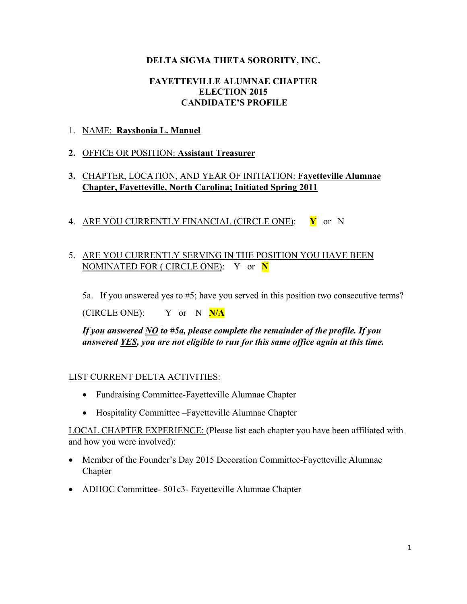#### **DELTA SIGMA THETA SORORITY, INC.**

#### **FAYETTEVILLE ALUMNAE CHAPTER ELECTION 2015 CANDIDATE'S PROFILE**

#### 1. NAME: **Rayshonia L. Manuel**

#### **2.** OFFICE OR POSITION: **Assistant Treasurer**

## **3.** CHAPTER, LOCATION, AND YEAR OF INITIATION: **Fayetteville Alumnae Chapter, Fayetteville, North Carolina; Initiated Spring 2011**

4. ARE YOU CURRENTLY FINANCIAL (CIRCLE ONE): **Y** or N

## 5. ARE YOU CURRENTLY SERVING IN THE POSITION YOU HAVE BEEN NOMINATED FOR ( CIRCLE ONE): Y or **N**

5a. If you answered yes to #5; have you served in this position two consecutive terms?

(CIRCLE ONE): Y or N **N/A**

*If you answered NO to #5a, please complete the remainder of the profile. If you answered YES, you are not eligible to run for this same office again at this time.* 

## LIST CURRENT DELTA ACTIVITIES:

- Fundraising Committee-Fayetteville Alumnae Chapter
- Hospitality Committee –Fayetteville Alumnae Chapter

LOCAL CHAPTER EXPERIENCE: (Please list each chapter you have been affiliated with and how you were involved):

- Member of the Founder's Day 2015 Decoration Committee-Fayetteville Alumnae Chapter
- ADHOC Committee- 501c3- Fayetteville Alumnae Chapter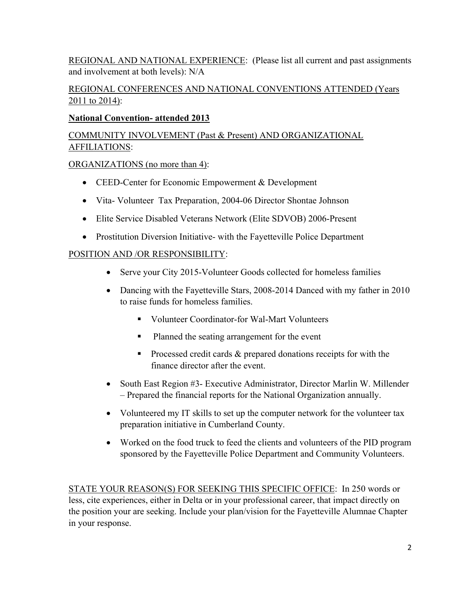REGIONAL AND NATIONAL EXPERIENCE: (Please list all current and past assignments and involvement at both levels): N/A

## REGIONAL CONFERENCES AND NATIONAL CONVENTIONS ATTENDED (Years 2011 to 2014):

## **National Convention- attended 2013**

# COMMUNITY INVOLVEMENT (Past & Present) AND ORGANIZATIONAL AFFILIATIONS:

## ORGANIZATIONS (no more than 4):

- $\bullet$  CEED-Center for Economic Empowerment & Development
- Vita- Volunteer Tax Preparation, 2004-06 Director Shontae Johnson
- Elite Service Disabled Veterans Network (Elite SDVOB) 2006-Present
- Prostitution Diversion Initiative- with the Fayetteville Police Department

# POSITION AND /OR RESPONSIBILITY:

- Serve your City 2015-Volunteer Goods collected for homeless families
- Dancing with the Fayetteville Stars, 2008-2014 Danced with my father in 2010 to raise funds for homeless families.
	- Volunteer Coordinator-for Wal-Mart Volunteers
	- Planned the seating arrangement for the event
	- **Processed credit cards & prepared donations receipts for with the** finance director after the event.
- South East Region #3- Executive Administrator, Director Marlin W. Millender – Prepared the financial reports for the National Organization annually.
- Volunteered my IT skills to set up the computer network for the volunteer tax preparation initiative in Cumberland County.
- Worked on the food truck to feed the clients and volunteers of the PID program sponsored by the Fayetteville Police Department and Community Volunteers.

STATE YOUR REASON(S) FOR SEEKING THIS SPECIFIC OFFICE: In 250 words or less, cite experiences, either in Delta or in your professional career, that impact directly on the position your are seeking. Include your plan/vision for the Fayetteville Alumnae Chapter in your response.